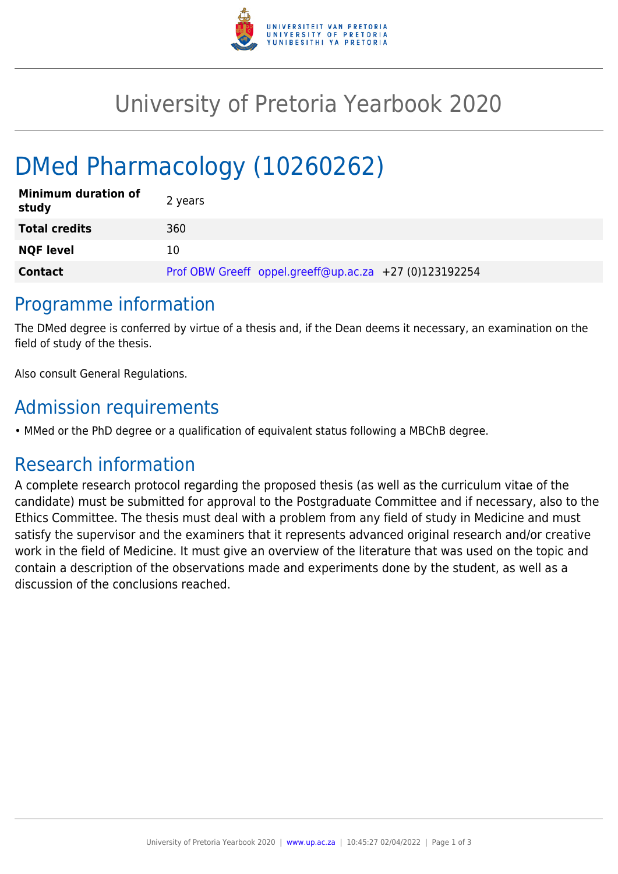

## University of Pretoria Yearbook 2020

# DMed Pharmacology (10260262)

| <b>Minimum duration of</b><br>study | 2 years                                                |
|-------------------------------------|--------------------------------------------------------|
| <b>Total credits</b>                | 360                                                    |
| <b>NQF level</b>                    | 10                                                     |
| <b>Contact</b>                      | Prof OBW Greeff oppel.greeff@up.ac.za +27 (0)123192254 |

#### Programme information

The DMed degree is conferred by virtue of a thesis and, if the Dean deems it necessary, an examination on the field of study of the thesis.

Also consult General Regulations.

### Admission requirements

• MMed or the PhD degree or a qualification of equivalent status following a MBChB degree.

### Research information

A complete research protocol regarding the proposed thesis (as well as the curriculum vitae of the candidate) must be submitted for approval to the Postgraduate Committee and if necessary, also to the Ethics Committee. The thesis must deal with a problem from any field of study in Medicine and must satisfy the supervisor and the examiners that it represents advanced original research and/or creative work in the field of Medicine. It must give an overview of the literature that was used on the topic and contain a description of the observations made and experiments done by the student, as well as a discussion of the conclusions reached.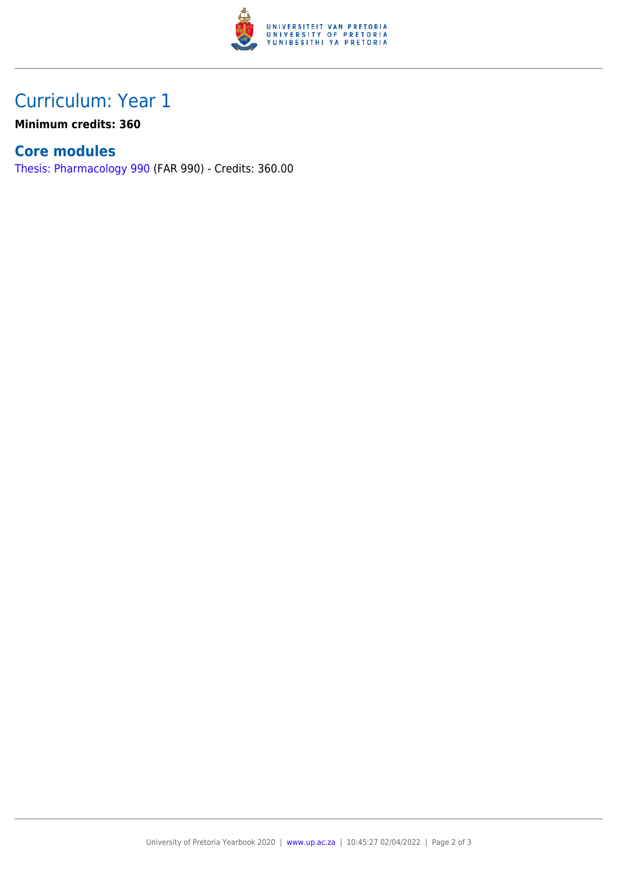

## Curriculum: Year 1

**Minimum credits: 360**

#### **Core modules**

[Thesis: Pharmacology 990](https://www.up.ac.za/faculty-of-education/yearbooks/2020/modules/view/FAR 990) (FAR 990) - Credits: 360.00